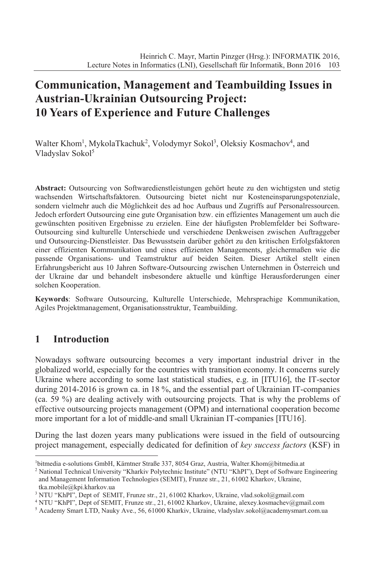# **Communication, Management and Teambuilding Issues in Austrian-Ukrainian Outsourcing Project: 10 Years of Experience and Future Challenges**

Walter Khom<sup>1</sup>, MykolaTkachuk<sup>2</sup>, Volodymyr Sokol<sup>3</sup>, Oleksiy Kosmachov<sup>4</sup>, and Vladyslav Sokol<sup>5</sup>

**Abstract:** Outsourcing von Softwaredienstleistungen gehört heute zu den wichtigsten und stetig wachsenden Wirtschaftsfaktoren. Outsourcing bietet nicht nur Kosteneinsparungspotenziale, sondern vielmehr auch die Möglichkeit des ad hoc Aufbaus und Zugriffs auf Personalressourcen. Jedoch erfordert Outsourcing eine gute Organisation bzw. ein effizientes Management um auch die gewünschten positiven Ergebnisse zu erzielen. Eine der häufigsten Problemfelder bei Software-Outsourcing sind kulturelle Unterschiede und verschiedene Denkweisen zwischen Auftraggeber und Outsourcing-Dienstleister. Das Bewusstsein darüber gehört zu den kritischen Erfolgsfaktoren einer effizienten Kommunikation und eines effizienten Managements, gleichermaßen wie die passende Organisations- und Teamstruktur auf beiden Seiten. Dieser Artikel stellt einen Erfahrungsbericht aus 10 Jahren Software-Outsourcing zwischen Unternehmen in Österreich und der Ukraine dar und behandelt insbesondere aktuelle und künftige Herausforderungen einer solchen Kooperation.

**Keywords**: Software Outsourcing, Kulturelle Unterschiede, Mehrsprachige Kommunikation, Agiles Projektmanagement, Organisationsstruktur, Teambuilding.

### **1 Introduction**

Nowadays software outsourcing becomes a very important industrial driver in the globalized world, especially for the countries with transition economy. It concerns surely Ukraine where according to some last statistical studies, e.g. in [ITU16], the IT-sector during 2014-2016 is grown ca. in 18 %, and the essential part of Ukrainian IT-companies (ca. 59 %) are dealing actively with outsourcing projects. That is why the problems of effective outsourcing projects management (OPM) and international cooperation become more important for a lot of middle-and small Ukrainian IT-companies [ITU16].

During the last dozen years many publications were issued in the field of outsourcing project management, especially dedicated for definition of *key success factors* (KSF) in

<sup>1</sup> bitmedia e-solutions GmbH, Kärntner Straße 337, 8054 Graz, Austria, Walter.Khom@bitmedia.at

<sup>&</sup>lt;sup>2</sup> National Technical University "Kharkiv Polytechnic Institute" (NTU "KhPI"), Dept of Software Engineering and Management Information Technologies (SEMIT), Frunze str., 21, 61002 Kharkov, Ukraine, tka.mobile@kpi.kharkov.ua

<sup>&</sup>lt;sup>3</sup> NTU "KhPI", Dept of SEMIT, Frunze str., 21, 61002 Kharkov, Ukraine, vlad.sokol@gmail.com

<sup>4</sup> NTU "KhPI", Dept of SEMIT, Frunze str., 21, 61002 Kharkov, Ukraine, alexey.kosmachev@gmail.com

<sup>5</sup> Academy Smart LTD, Nauky Ave., 56, 61000 Kharkiv, Ukraine, vladyslav.sokol@academysmart.com.ua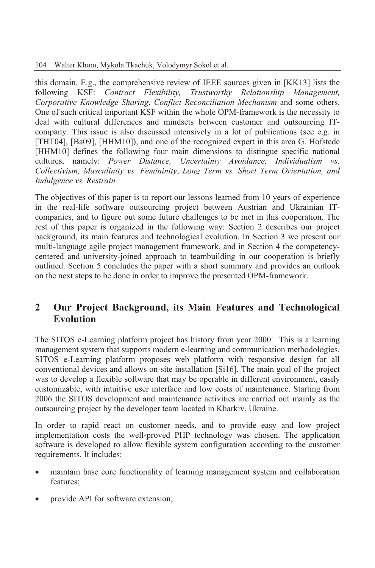this domain. E.g., the comprehensive review of IEEE sources given in [KK13] lists the following KSF: *Contract Flexibility, Trustworthy Relationship Management, Corporative Knowledge Sharing*, *Conflict Reconciliation Mechanism* and some others. One of such critical important KSF within the whole OPM-framework is the necessity to deal with cultural differences and mindsets between customer and outsourcing ITcompany. This issue is also discussed intensively in a lot of publications (see e.g. in [THT04], [Ba09], [HHM10]), and one of the recognized expert in this area G. Hofstede [HHM10] defines the following four main dimensions to distingue specific national cultures, namely: *Power Distance, Uncertainty Avoidance, Individualism vs. Collectivism, Masculinity vs. Femininity*, *Long Term vs. Short Term Orientation, and Indulgence vs. Restrain.*

The objectives of this paper is to report our lessons learned from 10 years of experience in the real-life software outsourcing project between Austrian and Ukrainian ITcompanies, and to figure out some future challenges to be met in this cooperation. The rest of this paper is organized in the following way: Section 2 describes our project background, its main features and technological evolution. In Section 3 we present our multi-language agile project management framework, and in Section 4 the competencycentered and university-joined approach to teambuilding in our cooperation is briefly outlined. Section 5 concludes the paper with a short summary and provides an outlook on the next steps to be done in order to improve the presented OPM-framework.

## **2 Our Project Background, its Main Features and Technological Evolution**

The SITOS e-Learning platform project has history from year 2000. This is a learning management system that supports modern e-learning and communication methodologies. SITOS e-Learning platform proposes web platform with responsive design for all conventional devices and allows on-site installation [Si16]. The main goal of the project was to develop a flexible software that may be operable in different environment, easily customizable, with intuitive user interface and low costs of maintenance. Starting from 2006 the SITOS development and maintenance activities are carried out mainly as the outsourcing project by the developer team located in Kharkiv, Ukraine.

In order to rapid react on customer needs, and to provide easy and low project implementation costs the well-proved PHP technology was chosen. The application software is developed to allow flexible system configuration according to the customer requirements. It includes:

- maintain base core functionality of learning management system and collaboration features;
- provide API for software extension;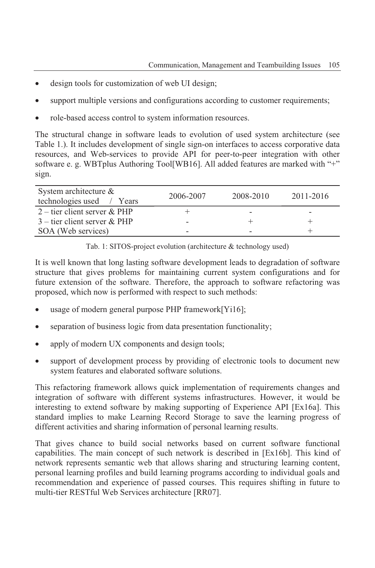- design tools for customization of web UI design;
- support multiple versions and configurations according to customer requirements;
- role-based access control to system information resources.

The structural change in software leads to evolution of used system architecture (see Table 1.). It includes development of single sign-on interfaces to access corporative data resources, and Web-services to provide API for peer-to-peer integration with other software e. g. WBTplus Authoring Tool[WB16]. All added features are marked with "+" sign.

| System architecture $\&$<br>technologies used / Years | 2006-2007 | 2008-2010 | 2011-2016 |
|-------------------------------------------------------|-----------|-----------|-----------|
| 2 – tier client server & PHP                          |           |           |           |
| $3$ – tier client server & PHP                        |           |           |           |
| SOA (Web services)                                    |           |           |           |

Tab. 1: SITOS-project evolution (architecture & technology used)

It is well known that long lasting software development leads to degradation of software structure that gives problems for maintaining current system configurations and for future extension of the software. Therefore, the approach to software refactoring was proposed, which now is performed with respect to such methods:

- usage of modern general purpose PHP framework[Yi16];
- separation of business logic from data presentation functionality;
- apply of modern UX components and design tools;
- support of development process by providing of electronic tools to document new system features and elaborated software solutions.

This refactoring framework allows quick implementation of requirements changes and integration of software with different systems infrastructures. However, it would be interesting to extend software by making supporting of Experience API [Ex16a]. This standard implies to make Learning Record Storage to save the learning progress of different activities and sharing information of personal learning results.

That gives chance to build social networks based on current software functional capabilities. The main concept of such network is described in [Ex16b]. This kind of network represents semantic web that allows sharing and structuring learning content, personal learning profiles and build learning programs according to individual goals and recommendation and experience of passed courses. This requires shifting in future to multi-tier RESTful Web Services architecture [RR07].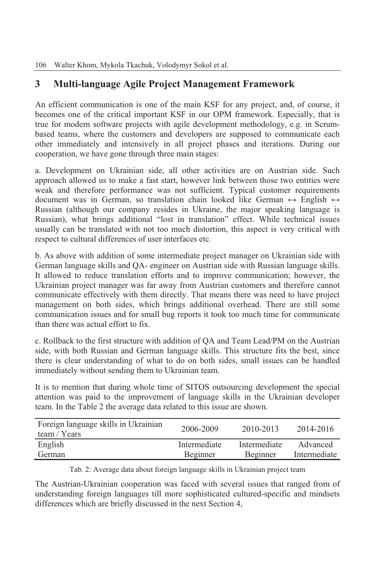## **3 Multi-language Agile Project Management Framework**

An efficient communication is one of the main KSF for any project, and, of course, it becomes one of the critical important KSF in our OPM framework. Especially, that is true for modern software projects with agile development methodology, e.g. in Scrumbased teams, where the customers and developers are supposed to communicate each other immediately and intensively in all project phases and iterations. During our cooperation, we have gone through three main stages:

a. Development on Ukrainian side, all other activities are on Austrian side. Such approach allowed us to make a fast start, however link between those two entities were weak and therefore performance was not sufficient. Typical customer requirements document was in German, so translation chain looked like German  $\leftrightarrow$  English  $\leftrightarrow$ Russian (although our company resides in Ukraine, the major speaking language is Russian), what brings additional "lost in translation" effect. While technical issues usually can be translated with not too much distortion, this aspect is very critical with respect to cultural differences of user interfaces etc.

b. As above with addition of some intermediate project manager on Ukrainian side with German language skills and QA- engineer on Austrian side with Russian language skills. It allowed to reduce translation efforts and to improve communication; however, the Ukrainian project manager was far away from Austrian customers and therefore cannot communicate effectively with them directly. That means there was need to have project management on both sides, which brings additional overhead. There are still some communication issues and for small bug reports it took too much time for communicate than there was actual effort to fix.

c. Rollback to the first structure with addition of QA and Team Lead/PM on the Austrian side, with both Russian and German language skills. This structure fits the best, since there is clear understanding of what to do on both sides, small issues can be handled immediately without sending them to Ukrainian team.

It is to mention that during whole time of SITOS outsourcing development the special attention was paid to the improvement of language skills in the Ukrainian developer team. In the Table 2 the average data related to this issue are shown.

| Foreign language skills in Ukrainian<br>team / Years | 2006-2009    | 2010-2013    | 2014-2016    |
|------------------------------------------------------|--------------|--------------|--------------|
| English                                              | Intermediate | Intermediate | Advanced     |
| German                                               | Beginner     | Beginner     | Intermediate |

Tab. 2: Average data about foreign language skills in Ukrainian project team

The Austrian-Ukrainian cooperation was faced with several issues that ranged from of understanding foreign languages till more sophisticated cultured-specific and mindsets differences which are briefly discussed in the next Section 4,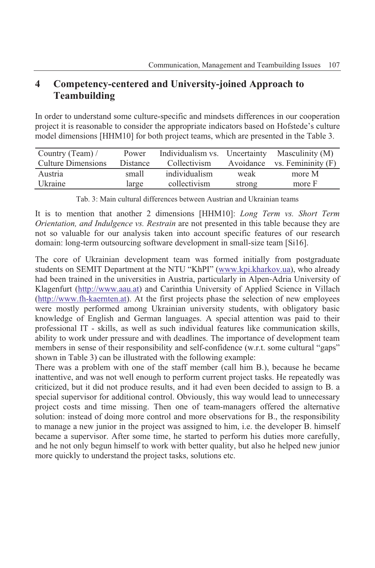## **4 Competency-centered and University-joined Approach to Teambuilding**

In order to understand some culture-specific and mindsets differences in our cooperation project it is reasonable to consider the appropriate indicators based on Hofstede's culture model dimensions [HHM10] for both project teams, which are presented in the Table 3.

| Country (Team) /          | Power    |               |           | Individualism vs. Uncertainty Masculinity (M) |
|---------------------------|----------|---------------|-----------|-----------------------------------------------|
| <b>Culture Dimensions</b> | Distance | Collectivism  | Avoidance | vs. Femininity (F)                            |
| Austria                   | small    | individualism | weak      | more M                                        |
| Ukraine                   | large    | collectivism  | strong    | more F                                        |

Tab. 3: Main cultural differences between Austrian and Ukrainian teams

It is to mention that another 2 dimensions [HHM10]: *Long Term vs. Short Term Orientation, and Indulgence vs. Restrain* are not presented in this table because they are not so valuable for our analysis taken into account specific features of our research domain: long-term outsourcing software development in small-size team [Si16].

The core of Ukrainian development team was formed initially from postgraduate students on SEMIT Department at the NTU "KhPI" (www.kpi.kharkov.ua), who already had been trained in the universities in Austria, particularly in Alpen-Adria University of Klagenfurt (http://www.aau.at) and Carinthia University of Applied Science in Villach (http://www.fh-kaernten.at). At the first projects phase the selection of new employees were mostly performed among Ukrainian university students, with obligatory basic knowledge of English and German languages. A special attention was paid to their professional IT - skills, as well as such individual features like communication skills, ability to work under pressure and with deadlines. The importance of development team members in sense of their responsibility and self-confidence (w.r.t. some cultural "gaps" shown in Table 3) can be illustrated with the following example:

There was a problem with one of the staff member (call him B.), because he became inattentive, and was not well enough to perform current project tasks. He repeatedly was criticized, but it did not produce results, and it had even been decided to assign to B. a special supervisor for additional control. Obviously, this way would lead to unnecessary project costs and time missing. Then one of team-managers offered the alternative solution: instead of doing more control and more observations for B., the responsibility to manage a new junior in the project was assigned to him, i.e. the developer B. himself became a supervisor. After some time, he started to perform his duties more carefully, and he not only begun himself to work with better quality, but also he helped new junior more quickly to understand the project tasks, solutions etc.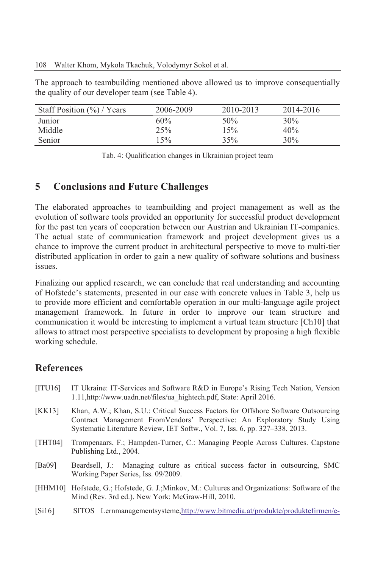The approach to teambuilding mentioned above allowed us to improve consequentially the quality of our developer team (see Table 4).

| Staff Position $(\%)$ / Years | 2006-2009 | 2010-2013 | 2014-2016 |
|-------------------------------|-----------|-----------|-----------|
| Junior                        | 60%       | 50%       | $30\%$    |
| Middle                        | 25%       | 15%       | 40%       |
| Senior                        | 15%       | 35%       | $30\%$    |

Tab. 4: Qualification changes in Ukrainian project team

#### **5 Conclusions and Future Challenges**

The elaborated approaches to teambuilding and project management as well as the evolution of software tools provided an opportunity for successful product development for the past ten years of cooperation between our Austrian and Ukrainian IT-companies. The actual state of communication framework and project development gives us a chance to improve the current product in architectural perspective to move to multi-tier distributed application in order to gain a new quality of software solutions and business issues.

Finalizing our applied research, we can conclude that real understanding and accounting of Hofstede's statements, presented in our case with concrete values in Table 3, help us to provide more efficient and comfortable operation in our multi-language agile project management framework. In future in order to improve our team structure and communication it would be interesting to implement a virtual team structure [Ch10] that allows to attract most perspective specialists to development by proposing a high flexible working schedule.

### **References**

- [ITU16] IT Ukraine: IT-Services and Software R&D in Europe's Rising Tech Nation, Version 1.11,http://www.uadn.net/files/ua\_hightech.pdf, State: April 2016.
- [KK13] Khan, A.W.; Khan, S.U.: Critical Success Factors for Offshore Software Outsourcing Contract Management FromVendors' Perspective: An Exploratory Study Using Systematic Literature Review, IET Softw., Vol. 7, Iss. 6, pp. 327–338, 2013.
- [THT04] Trompenaars, F.; Hampden-Turner, C.: Managing People Across Cultures. Capstone Publishing Ltd., 2004.
- [Ba09] Beardsell, J.: Managing culture as critical success factor in outsourcing, SMC Working Paper Series, Iss. 09/2009.
- [HHM10] Hofstede, G.; Hofstede, G. J.;Minkov, M.: Cultures and Organizations: Software of the Mind (Rev. 3rd ed.). New York: McGraw-Hill, 2010.
- [Si16] SITOS Lernmanagementsysteme,http://www.bitmedia.at/produkte/produktefirmen/e-